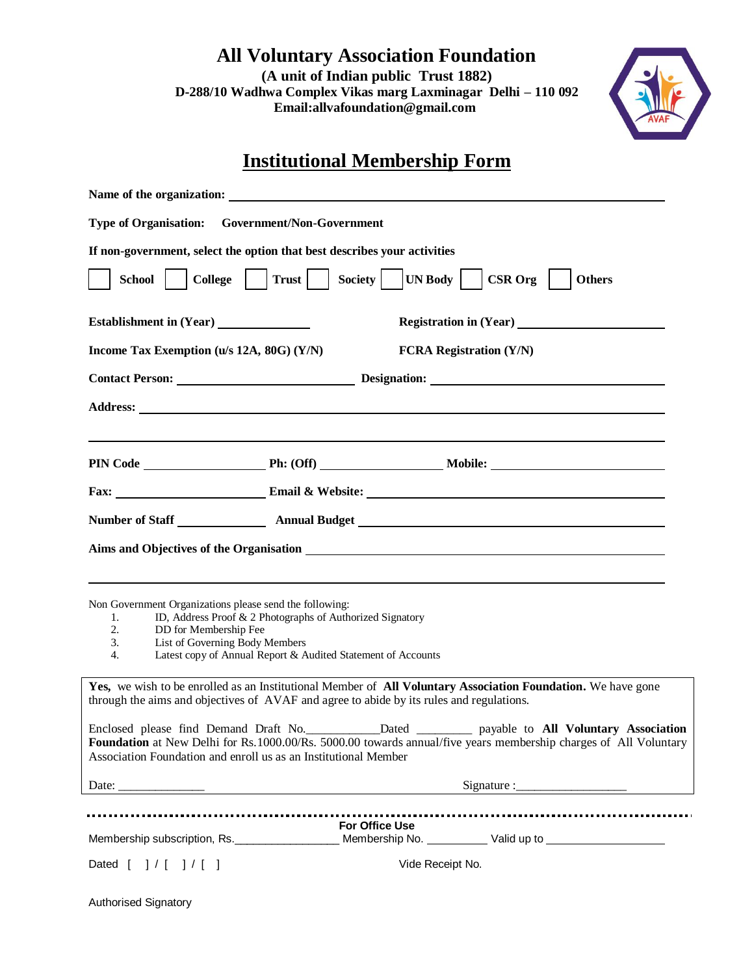**All Voluntary Association Foundation (A unit of Indian public Trust 1882) D-288/10 Wadhwa Complex Vikas marg Laxminagar Delhi – 110 092 Email:allvafoundation@gmail.com**



## **Institutional Membership Form**

| Name of the organization:                                                                                                                                                                                                                                                                        |                             |                                |
|--------------------------------------------------------------------------------------------------------------------------------------------------------------------------------------------------------------------------------------------------------------------------------------------------|-----------------------------|--------------------------------|
| <b>Type of Organisation:</b><br><b>Government/Non-Government</b>                                                                                                                                                                                                                                 |                             |                                |
| If non-government, select the option that best describes your activities                                                                                                                                                                                                                         |                             |                                |
| Trust  <br>College    <br>School                                                                                                                                                                                                                                                                 | Society   UN Body   CSR Org | <b>Others</b>                  |
|                                                                                                                                                                                                                                                                                                  |                             |                                |
| Income Tax Exemption (u/s 12A, 80G) (Y/N)                                                                                                                                                                                                                                                        |                             | <b>FCRA Registration (Y/N)</b> |
| Contact Person: Designation: Designation:                                                                                                                                                                                                                                                        |                             |                                |
|                                                                                                                                                                                                                                                                                                  |                             |                                |
|                                                                                                                                                                                                                                                                                                  |                             |                                |
|                                                                                                                                                                                                                                                                                                  |                             |                                |
|                                                                                                                                                                                                                                                                                                  |                             |                                |
| Aims and Objectives of the Organisation <b>contract of the Community Contract and Community</b> Contract of the Community Community Community Community Community Community Community Community Community Community Community Commu                                                              |                             |                                |
| Non Government Organizations please send the following:<br>ID, Address Proof & 2 Photographs of Authorized Signatory<br>1.<br>2.<br>DD for Membership Fee<br>List of Governing Body Members<br>3.<br>$\overline{4}$ .<br>Latest copy of Annual Report & Audited Statement of Accounts            |                             |                                |
| Yes, we wish to be enrolled as an Institutional Member of All Voluntary Association Foundation. We have gone<br>through the aims and objectives of AVAF and agree to abide by its rules and regulations.                                                                                         |                             |                                |
| Enclosed please find Demand Draft No. _____________Dated ___________ payable to All Voluntary Association<br>Foundation at New Delhi for Rs.1000.00/Rs. 5000.00 towards annual/five years membership charges of All Voluntary<br>Association Foundation and enroll us as an Institutional Member |                             |                                |
|                                                                                                                                                                                                                                                                                                  |                             |                                |
| Membership subscription, Rs. ______________________Membership No. ___________Valid up to ____________________                                                                                                                                                                                    | For Office Use              |                                |
| Dated $[ ] / [ ] / [ ]$                                                                                                                                                                                                                                                                          | Vide Receipt No.            |                                |

Authorised Signatory